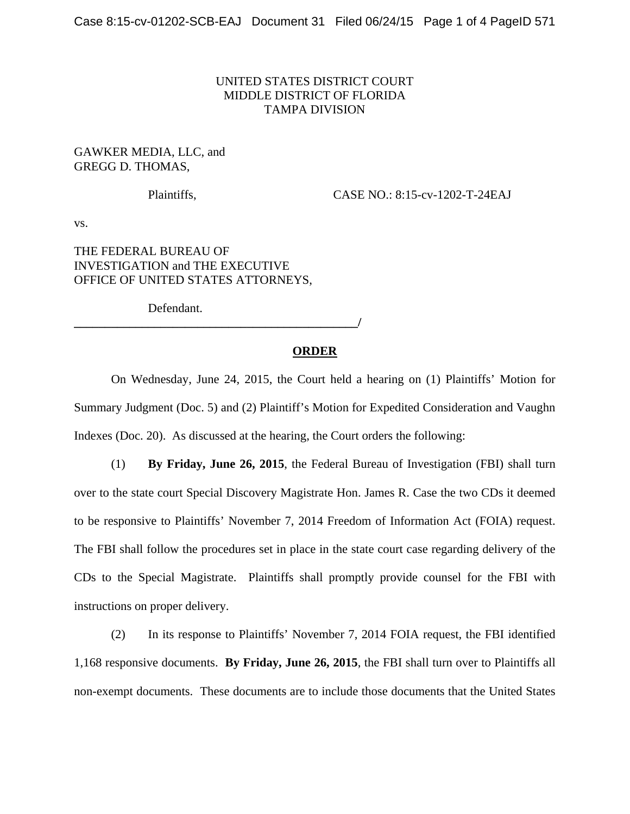## UNITED STATES DISTRICT COURT MIDDLE DISTRICT OF FLORIDA TAMPA DIVISION

## GAWKER MEDIA, LLC, and GREGG D. THOMAS,

Plaintiffs, CASE NO.: 8:15-cv-1202-T-24EAJ

vs.

THE FEDERAL BUREAU OF INVESTIGATION and THE EXECUTIVE OFFICE OF UNITED STATES ATTORNEYS,

**\_\_\_\_\_\_\_\_\_\_\_\_\_\_\_\_\_\_\_\_\_\_\_\_\_\_\_\_\_\_\_\_\_\_\_\_\_\_\_\_\_\_\_\_\_\_/** 

Defendant.

## **ORDER**

 On Wednesday, June 24, 2015, the Court held a hearing on (1) Plaintiffs' Motion for Summary Judgment (Doc. 5) and (2) Plaintiff's Motion for Expedited Consideration and Vaughn Indexes (Doc. 20). As discussed at the hearing, the Court orders the following:

 (1) **By Friday, June 26, 2015**, the Federal Bureau of Investigation (FBI) shall turn over to the state court Special Discovery Magistrate Hon. James R. Case the two CDs it deemed to be responsive to Plaintiffs' November 7, 2014 Freedom of Information Act (FOIA) request. The FBI shall follow the procedures set in place in the state court case regarding delivery of the CDs to the Special Magistrate. Plaintiffs shall promptly provide counsel for the FBI with instructions on proper delivery.

 (2) In its response to Plaintiffs' November 7, 2014 FOIA request, the FBI identified 1,168 responsive documents. **By Friday, June 26, 2015**, the FBI shall turn over to Plaintiffs all non-exempt documents. These documents are to include those documents that the United States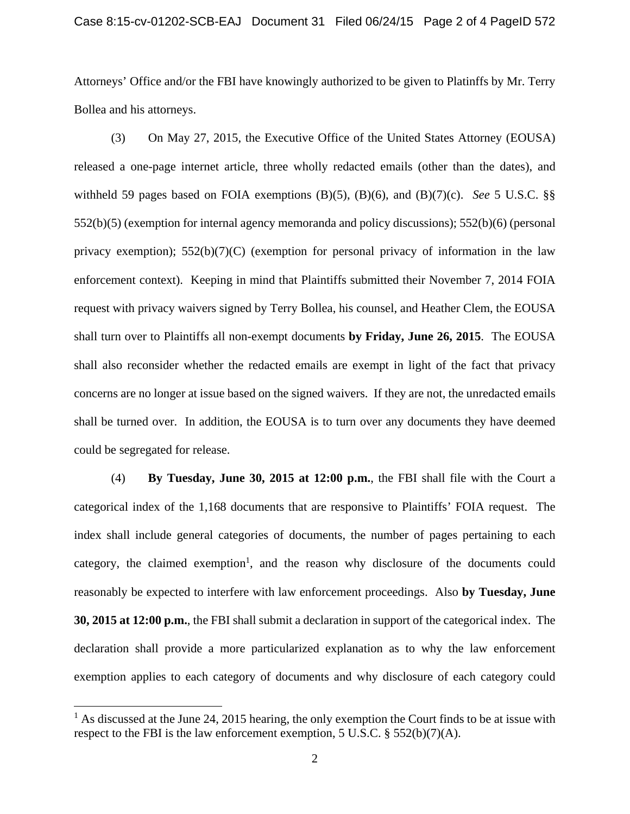Attorneys' Office and/or the FBI have knowingly authorized to be given to Platinffs by Mr. Terry Bollea and his attorneys.

 (3) On May 27, 2015, the Executive Office of the United States Attorney (EOUSA) released a one-page internet article, three wholly redacted emails (other than the dates), and withheld 59 pages based on FOIA exemptions (B)(5), (B)(6), and (B)(7)(c). *See* 5 U.S.C. §§ 552(b)(5) (exemption for internal agency memoranda and policy discussions); 552(b)(6) (personal privacy exemption); 552(b)(7)(C) (exemption for personal privacy of information in the law enforcement context). Keeping in mind that Plaintiffs submitted their November 7, 2014 FOIA request with privacy waivers signed by Terry Bollea, his counsel, and Heather Clem, the EOUSA shall turn over to Plaintiffs all non-exempt documents **by Friday, June 26, 2015**. The EOUSA shall also reconsider whether the redacted emails are exempt in light of the fact that privacy concerns are no longer at issue based on the signed waivers. If they are not, the unredacted emails shall be turned over. In addition, the EOUSA is to turn over any documents they have deemed could be segregated for release.

 (4) **By Tuesday, June 30, 2015 at 12:00 p.m.**, the FBI shall file with the Court a categorical index of the 1,168 documents that are responsive to Plaintiffs' FOIA request. The index shall include general categories of documents, the number of pages pertaining to each category, the claimed exemption<sup>1</sup>, and the reason why disclosure of the documents could reasonably be expected to interfere with law enforcement proceedings. Also **by Tuesday, June 30, 2015 at 12:00 p.m.**, the FBI shall submit a declaration in support of the categorical index. The declaration shall provide a more particularized explanation as to why the law enforcement exemption applies to each category of documents and why disclosure of each category could

i<br>L

 $<sup>1</sup>$  As discussed at the June 24, 2015 hearing, the only exemption the Court finds to be at issue with</sup> respect to the FBI is the law enforcement exemption, 5 U.S.C.  $\S$  552(b)(7)(A).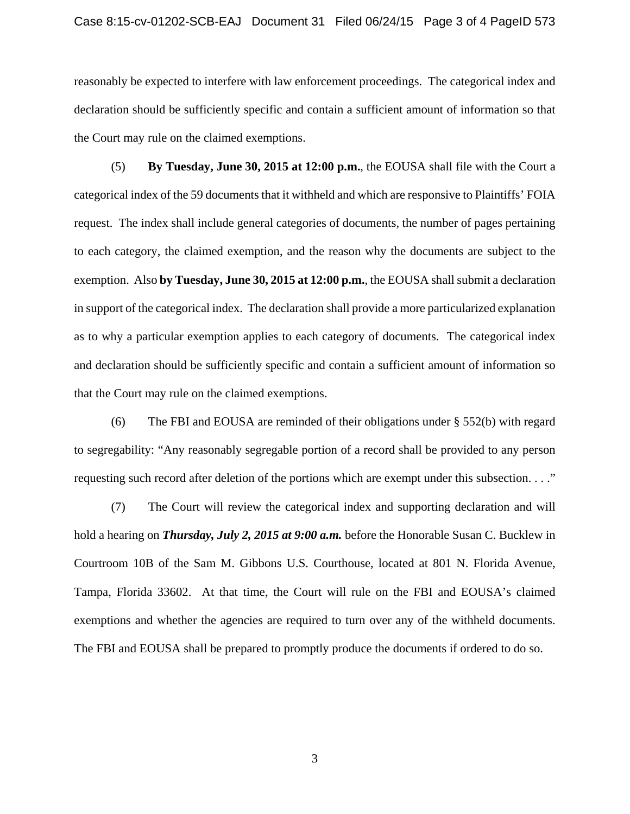reasonably be expected to interfere with law enforcement proceedings. The categorical index and declaration should be sufficiently specific and contain a sufficient amount of information so that the Court may rule on the claimed exemptions.

(5) **By Tuesday, June 30, 2015 at 12:00 p.m.**, the EOUSA shall file with the Court a categorical index of the 59 documents that it withheld and which are responsive to Plaintiffs' FOIA request. The index shall include general categories of documents, the number of pages pertaining to each category, the claimed exemption, and the reason why the documents are subject to the exemption. Also **by Tuesday, June 30, 2015 at 12:00 p.m.**, the EOUSA shall submit a declaration in support of the categorical index. The declaration shall provide a more particularized explanation as to why a particular exemption applies to each category of documents. The categorical index and declaration should be sufficiently specific and contain a sufficient amount of information so that the Court may rule on the claimed exemptions.

 (6) The FBI and EOUSA are reminded of their obligations under § 552(b) with regard to segregability: "Any reasonably segregable portion of a record shall be provided to any person requesting such record after deletion of the portions which are exempt under this subsection. . . ."

 (7) The Court will review the categorical index and supporting declaration and will hold a hearing on *Thursday, July 2, 2015 at 9:00 a.m.* before the Honorable Susan C. Bucklew in Courtroom 10B of the Sam M. Gibbons U.S. Courthouse, located at 801 N. Florida Avenue, Tampa, Florida 33602. At that time, the Court will rule on the FBI and EOUSA's claimed exemptions and whether the agencies are required to turn over any of the withheld documents. The FBI and EOUSA shall be prepared to promptly produce the documents if ordered to do so.

3